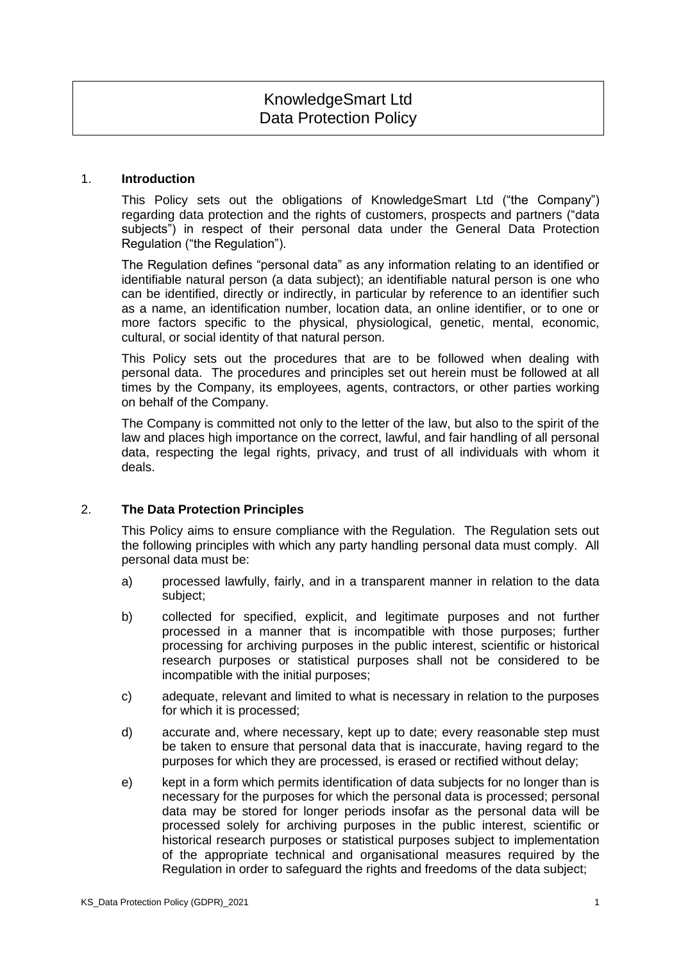# KnowledgeSmart Ltd Data Protection Policy

#### 1. **Introduction**

This Policy sets out the obligations of KnowledgeSmart Ltd ("the Company") regarding data protection and the rights of customers, prospects and partners ("data subjects") in respect of their personal data under the General Data Protection Regulation ("the Regulation").

The Regulation defines "personal data" as any information relating to an identified or identifiable natural person (a data subject); an identifiable natural person is one who can be identified, directly or indirectly, in particular by reference to an identifier such as a name, an identification number, location data, an online identifier, or to one or more factors specific to the physical, physiological, genetic, mental, economic, cultural, or social identity of that natural person.

This Policy sets out the procedures that are to be followed when dealing with personal data. The procedures and principles set out herein must be followed at all times by the Company, its employees, agents, contractors, or other parties working on behalf of the Company.

The Company is committed not only to the letter of the law, but also to the spirit of the law and places high importance on the correct, lawful, and fair handling of all personal data, respecting the legal rights, privacy, and trust of all individuals with whom it deals.

# 2. **The Data Protection Principles**

This Policy aims to ensure compliance with the Regulation. The Regulation sets out the following principles with which any party handling personal data must comply. All personal data must be:

- a) processed lawfully, fairly, and in a transparent manner in relation to the data subject;
- b) collected for specified, explicit, and legitimate purposes and not further processed in a manner that is incompatible with those purposes; further processing for archiving purposes in the public interest, scientific or historical research purposes or statistical purposes shall not be considered to be incompatible with the initial purposes;
- c) adequate, relevant and limited to what is necessary in relation to the purposes for which it is processed;
- d) accurate and, where necessary, kept up to date; every reasonable step must be taken to ensure that personal data that is inaccurate, having regard to the purposes for which they are processed, is erased or rectified without delay;
- e) kept in a form which permits identification of data subjects for no longer than is necessary for the purposes for which the personal data is processed; personal data may be stored for longer periods insofar as the personal data will be processed solely for archiving purposes in the public interest, scientific or historical research purposes or statistical purposes subject to implementation of the appropriate technical and organisational measures required by the Regulation in order to safeguard the rights and freedoms of the data subject;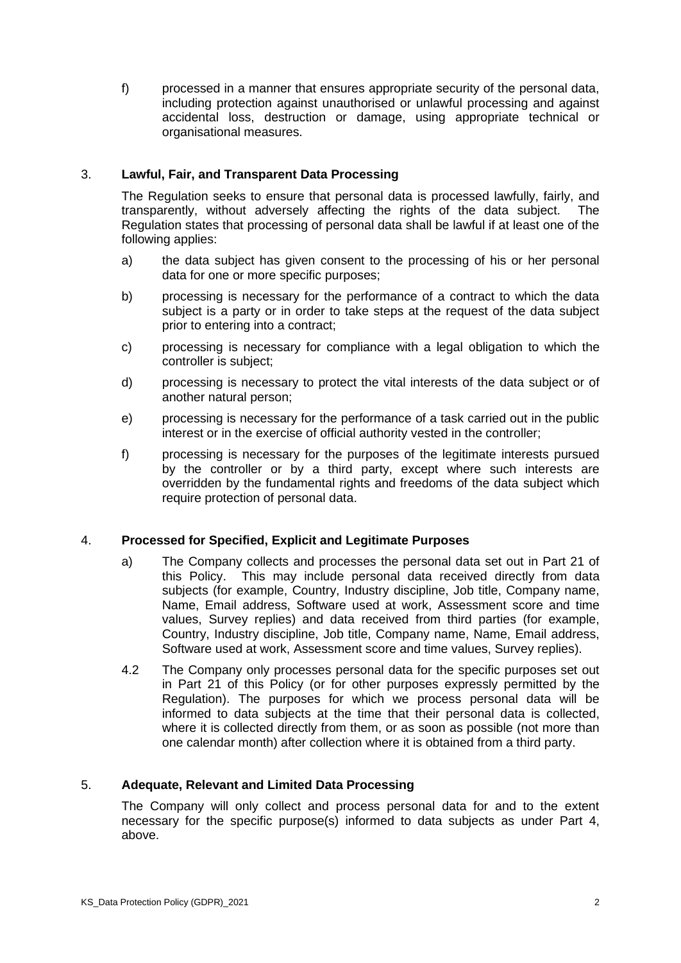f) processed in a manner that ensures appropriate security of the personal data, including protection against unauthorised or unlawful processing and against accidental loss, destruction or damage, using appropriate technical or organisational measures.

# 3. **Lawful, Fair, and Transparent Data Processing**

The Regulation seeks to ensure that personal data is processed lawfully, fairly, and transparently, without adversely affecting the rights of the data subject. The Regulation states that processing of personal data shall be lawful if at least one of the following applies:

- a) the data subject has given consent to the processing of his or her personal data for one or more specific purposes;
- b) processing is necessary for the performance of a contract to which the data subject is a party or in order to take steps at the request of the data subject prior to entering into a contract;
- c) processing is necessary for compliance with a legal obligation to which the controller is subject;
- d) processing is necessary to protect the vital interests of the data subject or of another natural person;
- e) processing is necessary for the performance of a task carried out in the public interest or in the exercise of official authority vested in the controller;
- f) processing is necessary for the purposes of the legitimate interests pursued by the controller or by a third party, except where such interests are overridden by the fundamental rights and freedoms of the data subject which require protection of personal data.

# 4. **Processed for Specified, Explicit and Legitimate Purposes**

- a) The Company collects and processes the personal data set out in Part 21 of this Policy. This may include personal data received directly from data subjects (for example, Country, Industry discipline, Job title, Company name, Name, Email address, Software used at work, Assessment score and time values, Survey replies) and data received from third parties (for example, Country, Industry discipline, Job title, Company name, Name, Email address, Software used at work, Assessment score and time values, Survey replies).
- 4.2 The Company only processes personal data for the specific purposes set out in Part 21 of this Policy (or for other purposes expressly permitted by the Regulation). The purposes for which we process personal data will be informed to data subjects at the time that their personal data is collected, where it is collected directly from them, or as soon as possible (not more than one calendar month) after collection where it is obtained from a third party.

# 5. **Adequate, Relevant and Limited Data Processing**

The Company will only collect and process personal data for and to the extent necessary for the specific purpose(s) informed to data subjects as under Part 4, above.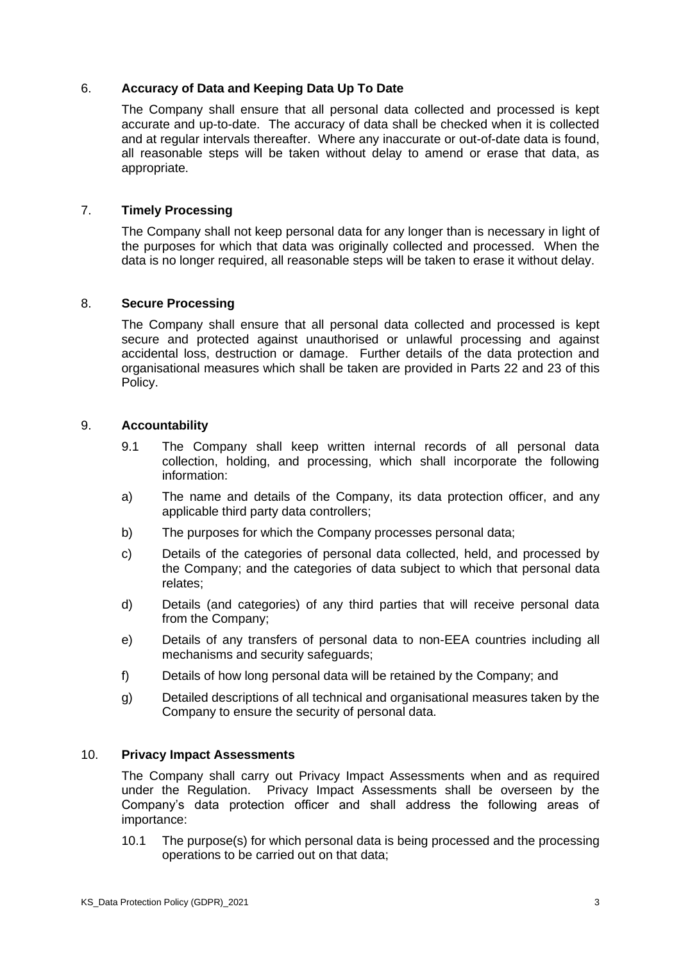# 6. **Accuracy of Data and Keeping Data Up To Date**

The Company shall ensure that all personal data collected and processed is kept accurate and up-to-date. The accuracy of data shall be checked when it is collected and at regular intervals thereafter. Where any inaccurate or out-of-date data is found, all reasonable steps will be taken without delay to amend or erase that data, as appropriate.

### 7. **Timely Processing**

The Company shall not keep personal data for any longer than is necessary in light of the purposes for which that data was originally collected and processed. When the data is no longer required, all reasonable steps will be taken to erase it without delay.

### 8. **Secure Processing**

The Company shall ensure that all personal data collected and processed is kept secure and protected against unauthorised or unlawful processing and against accidental loss, destruction or damage. Further details of the data protection and organisational measures which shall be taken are provided in Parts 22 and 23 of this Policy.

#### 9. **Accountability**

- 9.1 The Company shall keep written internal records of all personal data collection, holding, and processing, which shall incorporate the following information:
- a) The name and details of the Company, its data protection officer, and any applicable third party data controllers;
- b) The purposes for which the Company processes personal data;
- c) Details of the categories of personal data collected, held, and processed by the Company; and the categories of data subject to which that personal data relates;
- d) Details (and categories) of any third parties that will receive personal data from the Company;
- e) Details of any transfers of personal data to non-EEA countries including all mechanisms and security safeguards;
- f) Details of how long personal data will be retained by the Company; and
- g) Detailed descriptions of all technical and organisational measures taken by the Company to ensure the security of personal data.

#### 10. **Privacy Impact Assessments**

The Company shall carry out Privacy Impact Assessments when and as required under the Regulation. Privacy Impact Assessments shall be overseen by the Company's data protection officer and shall address the following areas of importance:

10.1 The purpose(s) for which personal data is being processed and the processing operations to be carried out on that data;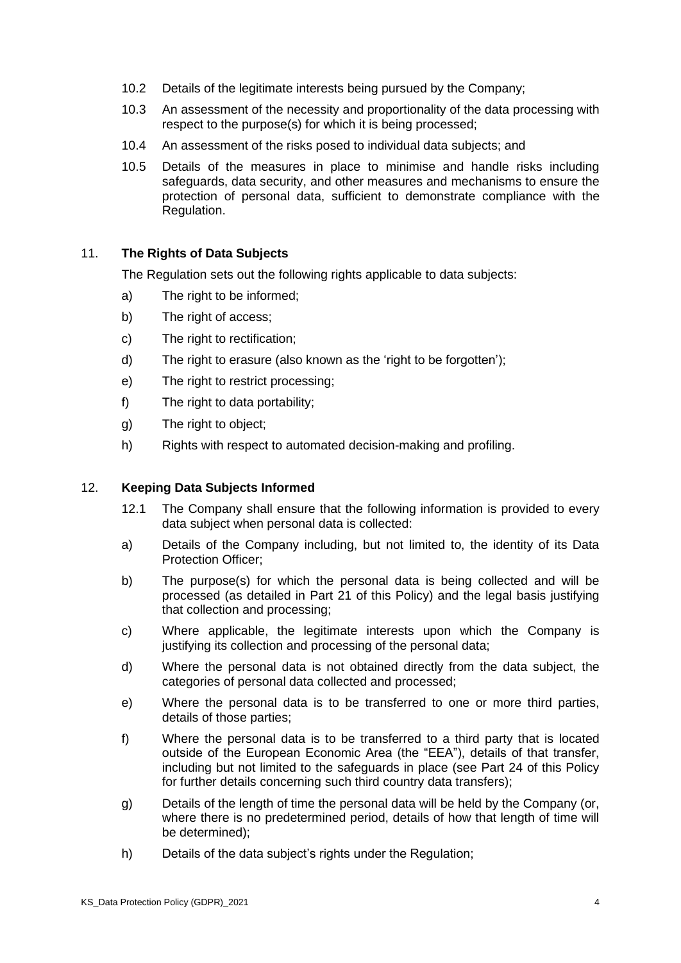- 10.2 Details of the legitimate interests being pursued by the Company;
- 10.3 An assessment of the necessity and proportionality of the data processing with respect to the purpose(s) for which it is being processed;
- 10.4 An assessment of the risks posed to individual data subjects; and
- 10.5 Details of the measures in place to minimise and handle risks including safeguards, data security, and other measures and mechanisms to ensure the protection of personal data, sufficient to demonstrate compliance with the Regulation.

### 11. **The Rights of Data Subjects**

The Regulation sets out the following rights applicable to data subjects:

- a) The right to be informed;
- b) The right of access;
- c) The right to rectification;
- d) The right to erasure (also known as the 'right to be forgotten');
- e) The right to restrict processing;
- f) The right to data portability:
- g) The right to object;
- h) Rights with respect to automated decision-making and profiling.

#### 12. **Keeping Data Subjects Informed**

- 12.1 The Company shall ensure that the following information is provided to every data subject when personal data is collected:
- a) Details of the Company including, but not limited to, the identity of its Data Protection Officer;
- b) The purpose(s) for which the personal data is being collected and will be processed (as detailed in Part 21 of this Policy) and the legal basis justifying that collection and processing;
- c) Where applicable, the legitimate interests upon which the Company is justifying its collection and processing of the personal data;
- d) Where the personal data is not obtained directly from the data subject, the categories of personal data collected and processed;
- e) Where the personal data is to be transferred to one or more third parties, details of those parties;
- f) Where the personal data is to be transferred to a third party that is located outside of the European Economic Area (the "EEA"), details of that transfer, including but not limited to the safeguards in place (see Part 24 of this Policy for further details concerning such third country data transfers);
- g) Details of the length of time the personal data will be held by the Company (or, where there is no predetermined period, details of how that length of time will be determined);
- h) Details of the data subject's rights under the Regulation;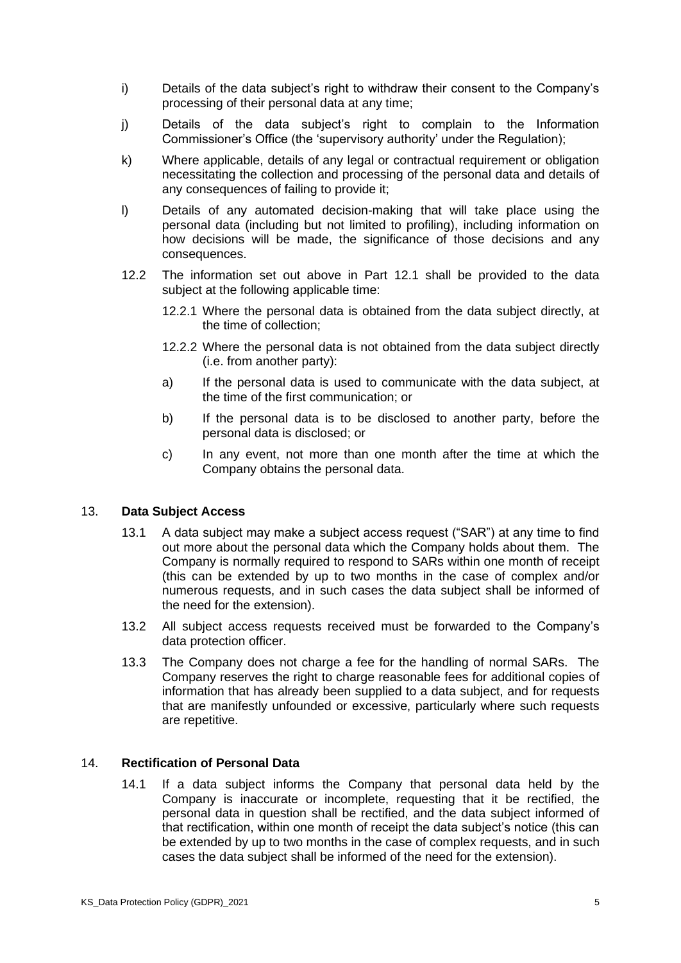- i) Details of the data subject's right to withdraw their consent to the Company's processing of their personal data at any time;
- j) Details of the data subject's right to complain to the Information Commissioner's Office (the 'supervisory authority' under the Regulation);
- k) Where applicable, details of any legal or contractual requirement or obligation necessitating the collection and processing of the personal data and details of any consequences of failing to provide it;
- l) Details of any automated decision-making that will take place using the personal data (including but not limited to profiling), including information on how decisions will be made, the significance of those decisions and any consequences.
- 12.2 The information set out above in Part 12.1 shall be provided to the data subject at the following applicable time:
	- 12.2.1 Where the personal data is obtained from the data subject directly, at the time of collection;
	- 12.2.2 Where the personal data is not obtained from the data subject directly (i.e. from another party):
	- a) If the personal data is used to communicate with the data subject, at the time of the first communication; or
	- b) If the personal data is to be disclosed to another party, before the personal data is disclosed; or
	- c) In any event, not more than one month after the time at which the Company obtains the personal data.

# 13. **Data Subject Access**

- 13.1 A data subject may make a subject access request ("SAR") at any time to find out more about the personal data which the Company holds about them. The Company is normally required to respond to SARs within one month of receipt (this can be extended by up to two months in the case of complex and/or numerous requests, and in such cases the data subject shall be informed of the need for the extension).
- 13.2 All subject access requests received must be forwarded to the Company's data protection officer.
- 13.3 The Company does not charge a fee for the handling of normal SARs. The Company reserves the right to charge reasonable fees for additional copies of information that has already been supplied to a data subject, and for requests that are manifestly unfounded or excessive, particularly where such requests are repetitive.

#### 14. **Rectification of Personal Data**

14.1 If a data subject informs the Company that personal data held by the Company is inaccurate or incomplete, requesting that it be rectified, the personal data in question shall be rectified, and the data subject informed of that rectification, within one month of receipt the data subject's notice (this can be extended by up to two months in the case of complex requests, and in such cases the data subject shall be informed of the need for the extension).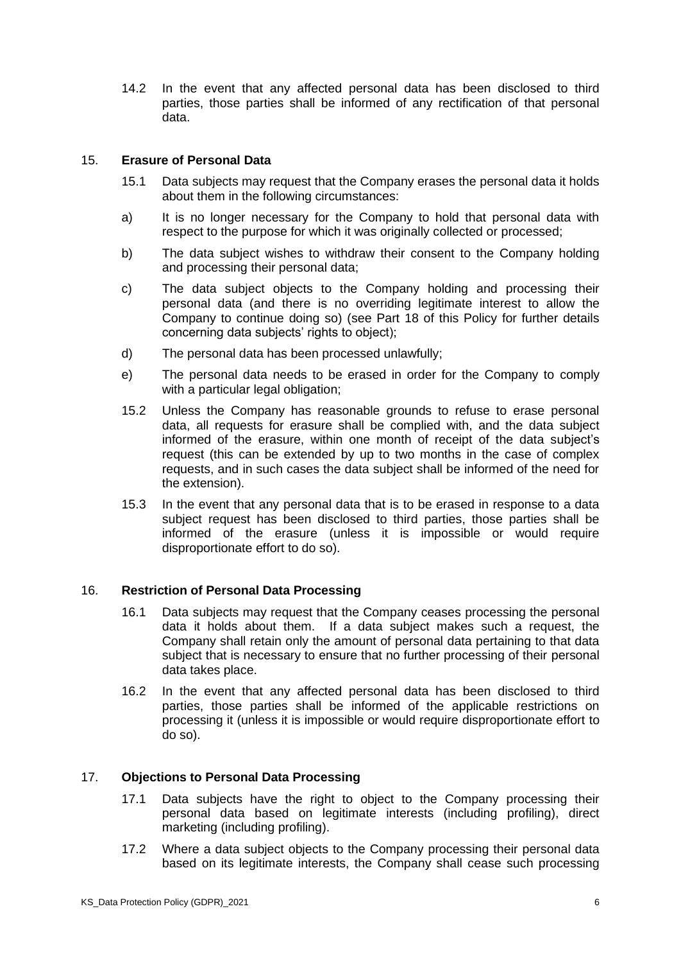14.2 In the event that any affected personal data has been disclosed to third parties, those parties shall be informed of any rectification of that personal data.

### 15. **Erasure of Personal Data**

- 15.1 Data subjects may request that the Company erases the personal data it holds about them in the following circumstances:
- a) It is no longer necessary for the Company to hold that personal data with respect to the purpose for which it was originally collected or processed;
- b) The data subject wishes to withdraw their consent to the Company holding and processing their personal data;
- c) The data subject objects to the Company holding and processing their personal data (and there is no overriding legitimate interest to allow the Company to continue doing so) (see Part 18 of this Policy for further details concerning data subjects' rights to object);
- d) The personal data has been processed unlawfully;
- e) The personal data needs to be erased in order for the Company to comply with a particular legal obligation;
- 15.2 Unless the Company has reasonable grounds to refuse to erase personal data, all requests for erasure shall be complied with, and the data subject informed of the erasure, within one month of receipt of the data subject's request (this can be extended by up to two months in the case of complex requests, and in such cases the data subject shall be informed of the need for the extension).
- 15.3 In the event that any personal data that is to be erased in response to a data subject request has been disclosed to third parties, those parties shall be informed of the erasure (unless it is impossible or would require disproportionate effort to do so).

# 16. **Restriction of Personal Data Processing**

- 16.1 Data subjects may request that the Company ceases processing the personal data it holds about them. If a data subject makes such a request, the Company shall retain only the amount of personal data pertaining to that data subject that is necessary to ensure that no further processing of their personal data takes place.
- 16.2 In the event that any affected personal data has been disclosed to third parties, those parties shall be informed of the applicable restrictions on processing it (unless it is impossible or would require disproportionate effort to do so).

# 17. **Objections to Personal Data Processing**

- 17.1 Data subjects have the right to object to the Company processing their personal data based on legitimate interests (including profiling), direct marketing (including profiling).
- 17.2 Where a data subject objects to the Company processing their personal data based on its legitimate interests, the Company shall cease such processing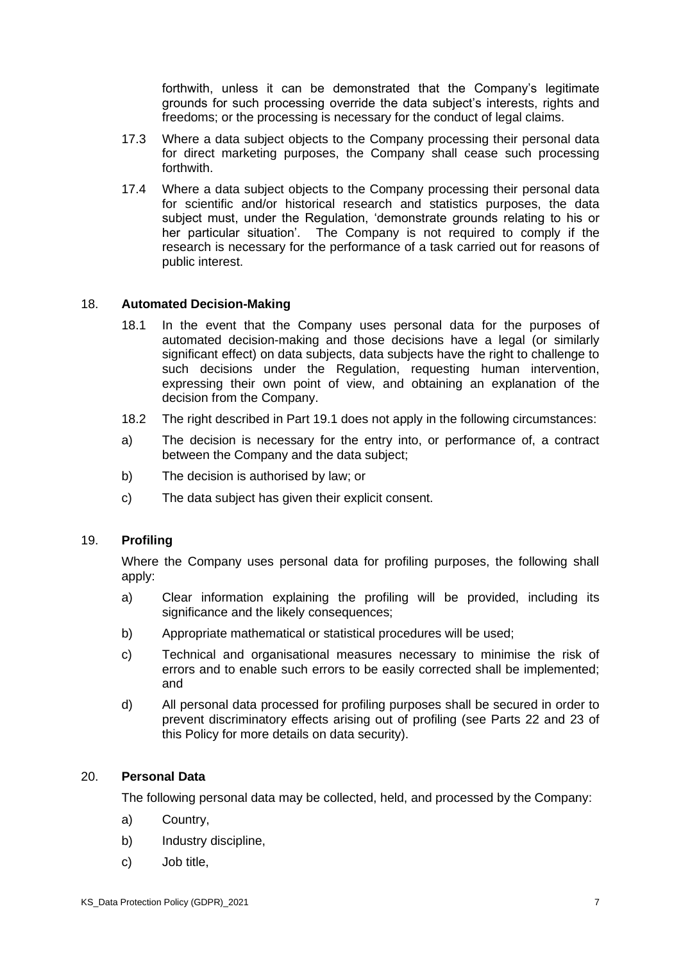forthwith, unless it can be demonstrated that the Company's legitimate grounds for such processing override the data subject's interests, rights and freedoms; or the processing is necessary for the conduct of legal claims.

- 17.3 Where a data subject objects to the Company processing their personal data for direct marketing purposes, the Company shall cease such processing forthwith.
- 17.4 Where a data subject objects to the Company processing their personal data for scientific and/or historical research and statistics purposes, the data subject must, under the Regulation, 'demonstrate grounds relating to his or her particular situation'. The Company is not required to comply if the research is necessary for the performance of a task carried out for reasons of public interest.

### 18. **Automated Decision-Making**

- 18.1 In the event that the Company uses personal data for the purposes of automated decision-making and those decisions have a legal (or similarly significant effect) on data subjects, data subjects have the right to challenge to such decisions under the Regulation, requesting human intervention, expressing their own point of view, and obtaining an explanation of the decision from the Company.
- 18.2 The right described in Part 19.1 does not apply in the following circumstances:
- a) The decision is necessary for the entry into, or performance of, a contract between the Company and the data subject;
- b) The decision is authorised by law; or
- c) The data subject has given their explicit consent.

# 19. **Profiling**

Where the Company uses personal data for profiling purposes, the following shall apply:

- a) Clear information explaining the profiling will be provided, including its significance and the likely consequences;
- b) Appropriate mathematical or statistical procedures will be used;
- c) Technical and organisational measures necessary to minimise the risk of errors and to enable such errors to be easily corrected shall be implemented; and
- d) All personal data processed for profiling purposes shall be secured in order to prevent discriminatory effects arising out of profiling (see Parts 22 and 23 of this Policy for more details on data security).

#### 20. **Personal Data**

The following personal data may be collected, held, and processed by the Company:

- a) Country,
- b) Industry discipline,
- c) Job title,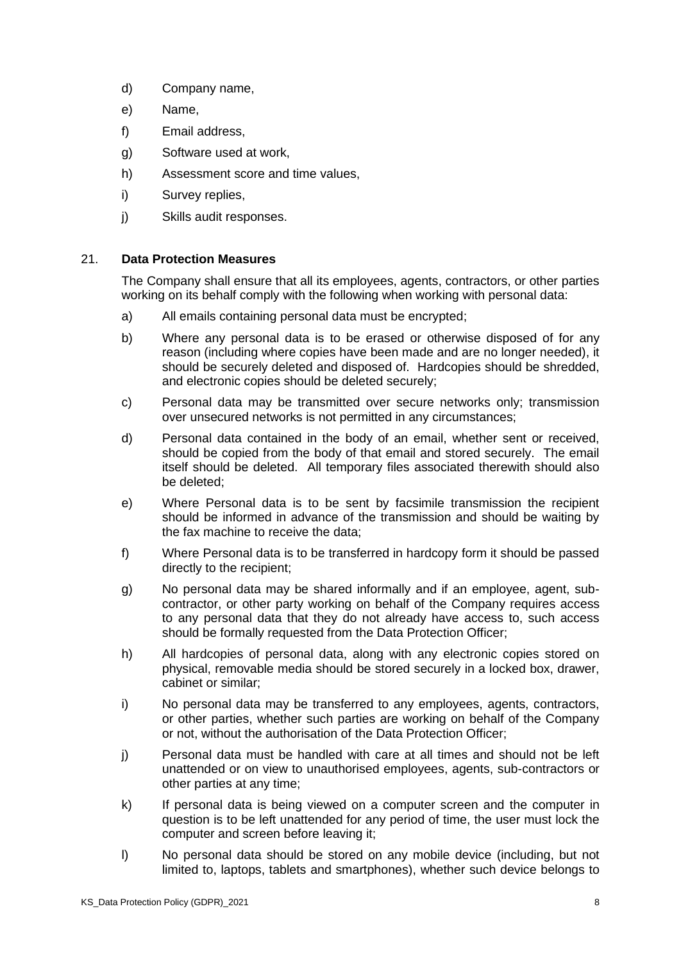- d) Company name,
- e) Name,
- f) Email address,
- g) Software used at work,
- h) Assessment score and time values,
- i) Survey replies,
- j) Skills audit responses.

# 21. **Data Protection Measures**

The Company shall ensure that all its employees, agents, contractors, or other parties working on its behalf comply with the following when working with personal data:

- a) All emails containing personal data must be encrypted;
- b) Where any personal data is to be erased or otherwise disposed of for any reason (including where copies have been made and are no longer needed), it should be securely deleted and disposed of. Hardcopies should be shredded, and electronic copies should be deleted securely;
- c) Personal data may be transmitted over secure networks only; transmission over unsecured networks is not permitted in any circumstances;
- d) Personal data contained in the body of an email, whether sent or received, should be copied from the body of that email and stored securely. The email itself should be deleted. All temporary files associated therewith should also be deleted;
- e) Where Personal data is to be sent by facsimile transmission the recipient should be informed in advance of the transmission and should be waiting by the fax machine to receive the data;
- f) Where Personal data is to be transferred in hardcopy form it should be passed directly to the recipient;
- g) No personal data may be shared informally and if an employee, agent, subcontractor, or other party working on behalf of the Company requires access to any personal data that they do not already have access to, such access should be formally requested from the Data Protection Officer;
- h) All hardcopies of personal data, along with any electronic copies stored on physical, removable media should be stored securely in a locked box, drawer, cabinet or similar;
- i) No personal data may be transferred to any employees, agents, contractors, or other parties, whether such parties are working on behalf of the Company or not, without the authorisation of the Data Protection Officer;
- j) Personal data must be handled with care at all times and should not be left unattended or on view to unauthorised employees, agents, sub-contractors or other parties at any time;
- k) If personal data is being viewed on a computer screen and the computer in question is to be left unattended for any period of time, the user must lock the computer and screen before leaving it;
- l) No personal data should be stored on any mobile device (including, but not limited to, laptops, tablets and smartphones), whether such device belongs to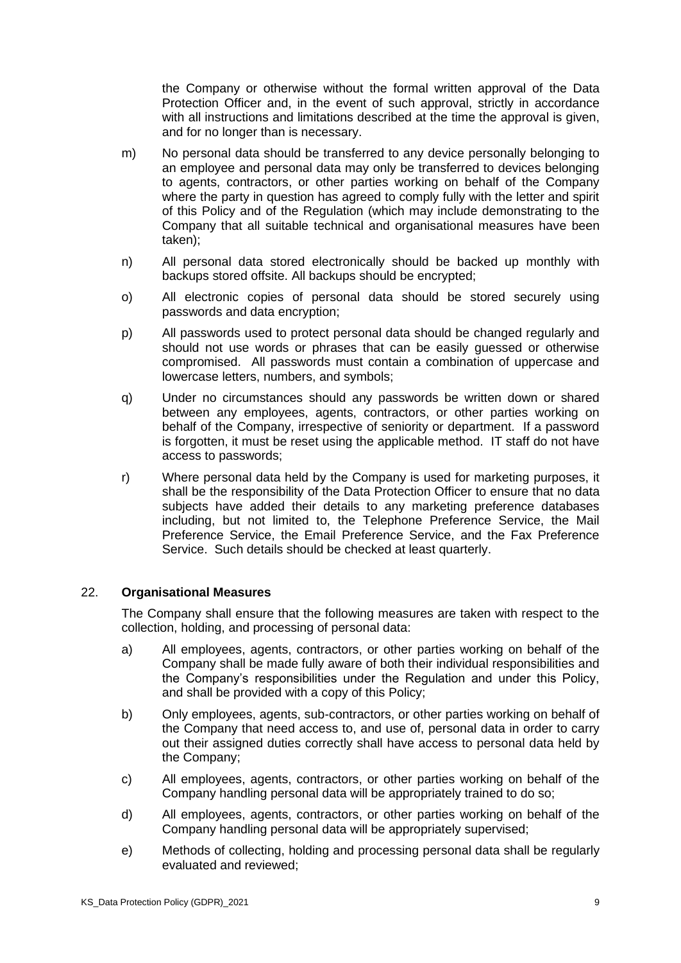the Company or otherwise without the formal written approval of the Data Protection Officer and, in the event of such approval, strictly in accordance with all instructions and limitations described at the time the approval is given, and for no longer than is necessary.

- m) No personal data should be transferred to any device personally belonging to an employee and personal data may only be transferred to devices belonging to agents, contractors, or other parties working on behalf of the Company where the party in question has agreed to comply fully with the letter and spirit of this Policy and of the Regulation (which may include demonstrating to the Company that all suitable technical and organisational measures have been taken);
- n) All personal data stored electronically should be backed up monthly with backups stored offsite. All backups should be encrypted;
- o) All electronic copies of personal data should be stored securely using passwords and data encryption;
- p) All passwords used to protect personal data should be changed regularly and should not use words or phrases that can be easily guessed or otherwise compromised. All passwords must contain a combination of uppercase and lowercase letters, numbers, and symbols;
- q) Under no circumstances should any passwords be written down or shared between any employees, agents, contractors, or other parties working on behalf of the Company, irrespective of seniority or department. If a password is forgotten, it must be reset using the applicable method. IT staff do not have access to passwords;
- r) Where personal data held by the Company is used for marketing purposes, it shall be the responsibility of the Data Protection Officer to ensure that no data subjects have added their details to any marketing preference databases including, but not limited to, the Telephone Preference Service, the Mail Preference Service, the Email Preference Service, and the Fax Preference Service. Such details should be checked at least quarterly.

# 22. **Organisational Measures**

The Company shall ensure that the following measures are taken with respect to the collection, holding, and processing of personal data:

- a) All employees, agents, contractors, or other parties working on behalf of the Company shall be made fully aware of both their individual responsibilities and the Company's responsibilities under the Regulation and under this Policy, and shall be provided with a copy of this Policy;
- b) Only employees, agents, sub-contractors, or other parties working on behalf of the Company that need access to, and use of, personal data in order to carry out their assigned duties correctly shall have access to personal data held by the Company;
- c) All employees, agents, contractors, or other parties working on behalf of the Company handling personal data will be appropriately trained to do so;
- d) All employees, agents, contractors, or other parties working on behalf of the Company handling personal data will be appropriately supervised;
- e) Methods of collecting, holding and processing personal data shall be regularly evaluated and reviewed;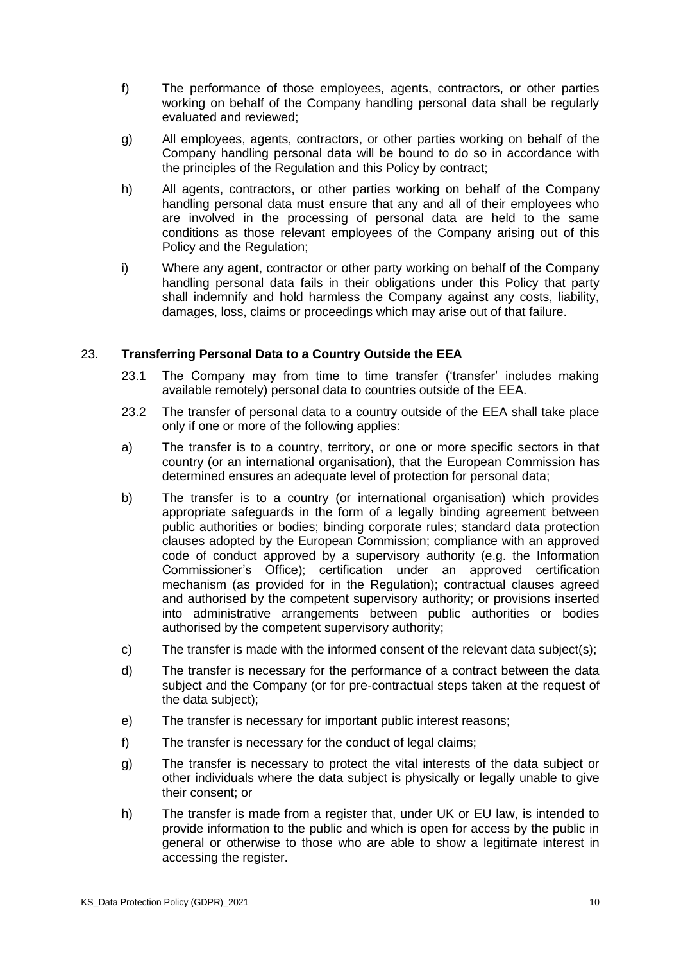- f) The performance of those employees, agents, contractors, or other parties working on behalf of the Company handling personal data shall be regularly evaluated and reviewed;
- g) All employees, agents, contractors, or other parties working on behalf of the Company handling personal data will be bound to do so in accordance with the principles of the Regulation and this Policy by contract;
- h) All agents, contractors, or other parties working on behalf of the Company handling personal data must ensure that any and all of their employees who are involved in the processing of personal data are held to the same conditions as those relevant employees of the Company arising out of this Policy and the Regulation;
- i) Where any agent, contractor or other party working on behalf of the Company handling personal data fails in their obligations under this Policy that party shall indemnify and hold harmless the Company against any costs, liability, damages, loss, claims or proceedings which may arise out of that failure.

# 23. **Transferring Personal Data to a Country Outside the EEA**

- 23.1 The Company may from time to time transfer ('transfer' includes making available remotely) personal data to countries outside of the EEA.
- 23.2 The transfer of personal data to a country outside of the EEA shall take place only if one or more of the following applies:
- a) The transfer is to a country, territory, or one or more specific sectors in that country (or an international organisation), that the European Commission has determined ensures an adequate level of protection for personal data;
- b) The transfer is to a country (or international organisation) which provides appropriate safeguards in the form of a legally binding agreement between public authorities or bodies; binding corporate rules; standard data protection clauses adopted by the European Commission; compliance with an approved code of conduct approved by a supervisory authority (e.g. the Information Commissioner's Office); certification under an approved certification mechanism (as provided for in the Regulation); contractual clauses agreed and authorised by the competent supervisory authority; or provisions inserted into administrative arrangements between public authorities or bodies authorised by the competent supervisory authority;
- c) The transfer is made with the informed consent of the relevant data subject(s);
- d) The transfer is necessary for the performance of a contract between the data subject and the Company (or for pre-contractual steps taken at the request of the data subject);
- e) The transfer is necessary for important public interest reasons;
- f) The transfer is necessary for the conduct of legal claims;
- g) The transfer is necessary to protect the vital interests of the data subject or other individuals where the data subject is physically or legally unable to give their consent; or
- h) The transfer is made from a register that, under UK or EU law, is intended to provide information to the public and which is open for access by the public in general or otherwise to those who are able to show a legitimate interest in accessing the register.